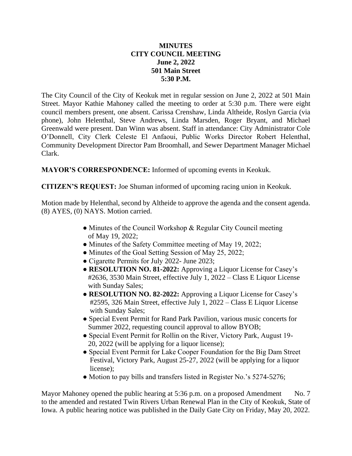## **MINUTES CITY COUNCIL MEETING June 2, 2022 501 Main Street 5:30 P.M.**

The City Council of the City of Keokuk met in regular session on June 2, 2022 at 501 Main Street. Mayor Kathie Mahoney called the meeting to order at 5:30 p.m. There were eight council members present, one absent. Carissa Crenshaw, Linda Altheide, Roslyn Garcia (via phone), John Helenthal, Steve Andrews, Linda Marsden, Roger Bryant, and Michael Greenwald were present. Dan Winn was absent. Staff in attendance: City Administrator Cole O'Donnell, City Clerk Celeste El Anfaoui, Public Works Director Robert Helenthal, Community Development Director Pam Broomhall, and Sewer Department Manager Michael Clark.

**MAYOR'S CORRESPONDENCE:** Informed of upcoming events in Keokuk.

**CITIZEN'S REQUEST:** Joe Shuman informed of upcoming racing union in Keokuk.

Motion made by Helenthal, second by Altheide to approve the agenda and the consent agenda. (8) AYES, (0) NAYS. Motion carried.

- Minutes of the Council Workshop & Regular City Council meeting of May 19, 2022;
- Minutes of the Safety Committee meeting of May 19, 2022;
- Minutes of the Goal Setting Session of May 25, 2022;
- Cigarette Permits for July 2022- June 2023;
- **RESOLUTION NO. 81-2022:** Approving a Liquor License for Casey's #2636, 3530 Main Street, effective July 1, 2022 – Class E Liquor License with Sunday Sales;
- **RESOLUTION NO. 82-2022:** Approving a Liquor License for Casey's #2595, 326 Main Street, effective July 1, 2022 – Class E Liquor License with Sunday Sales;
- Special Event Permit for Rand Park Pavilion, various music concerts for Summer 2022, requesting council approval to allow BYOB;
- Special Event Permit for Rollin on the River, Victory Park, August 19- 20, 2022 (will be applying for a liquor license);
- Special Event Permit for Lake Cooper Foundation for the Big Dam Street Festival, Victory Park, August 25-27, 2022 (will be applying for a liquor license);
- Motion to pay bills and transfers listed in Register No.'s 5274-5276;

Mayor Mahoney opened the public hearing at 5:36 p.m. on a proposed Amendment No. 7 to the amended and restated Twin Rivers Urban Renewal Plan in the City of Keokuk, State of Iowa. A public hearing notice was published in the Daily Gate City on Friday, May 20, 2022.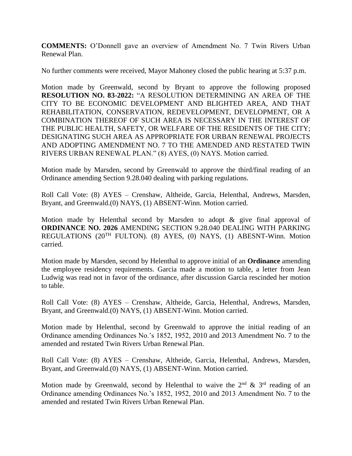**COMMENTS:** O'Donnell gave an overview of Amendment No. 7 Twin Rivers Urban Renewal Plan.

No further comments were received, Mayor Mahoney closed the public hearing at 5:37 p.m.

Motion made by Greenwald, second by Bryant to approve the following proposed **RESOLUTION NO. 83-2022:** "A RESOLUTION DETERMINING AN AREA OF THE CITY TO BE ECONOMIC DEVELOPMENT AND BLIGHTED AREA, AND THAT REHABILITATION, CONSERVATION, REDEVELOPMENT, DEVELOPMENT, OR A COMBINATION THEREOF OF SUCH AREA IS NECESSARY IN THE INTEREST OF THE PUBLIC HEALTH, SAFETY, OR WELFARE OF THE RESIDENTS OF THE CITY; DESIGNATING SUCH AREA AS APPROPRIATE FOR URBAN RENEWAL PROJECTS AND ADOPTING AMENDMENT NO. 7 TO THE AMENDED AND RESTATED TWIN RIVERS URBAN RENEWAL PLAN." (8) AYES, (0) NAYS. Motion carried.

Motion made by Marsden, second by Greenwald to approve the third/final reading of an Ordinance amending Section 9.28.040 dealing with parking regulations.

Roll Call Vote: (8) AYES – Crenshaw, Altheide, Garcia, Helenthal, Andrews, Marsden, Bryant, and Greenwald.(0) NAYS, (1) ABSENT-Winn. Motion carried.

Motion made by Helenthal second by Marsden to adopt & give final approval of **ORDINANCE NO. 2026** AMENDING SECTION 9.28.040 DEALING WITH PARKING REGULATIONS (20TH FULTON). (8) AYES, (0) NAYS, (1) ABESNT-Winn. Motion carried.

Motion made by Marsden, second by Helenthal to approve initial of an **Ordinance** amending the employee residency requirements. Garcia made a motion to table, a letter from Jean Ludwig was read not in favor of the ordinance, after discussion Garcia rescinded her motion to table.

Roll Call Vote: (8) AYES – Crenshaw, Altheide, Garcia, Helenthal, Andrews, Marsden, Bryant, and Greenwald.(0) NAYS, (1) ABSENT-Winn. Motion carried.

Motion made by Helenthal, second by Greenwald to approve the initial reading of an Ordinance amending Ordinances No.'s 1852, 1952, 2010 and 2013 Amendment No. 7 to the amended and restated Twin Rivers Urban Renewal Plan.

Roll Call Vote: (8) AYES – Crenshaw, Altheide, Garcia, Helenthal, Andrews, Marsden, Bryant, and Greenwald.(0) NAYS, (1) ABSENT-Winn. Motion carried.

Motion made by Greenwald, second by Helenthal to waive the  $2<sup>nd</sup>$  &  $3<sup>rd</sup>$  reading of an Ordinance amending Ordinances No.'s 1852, 1952, 2010 and 2013 Amendment No. 7 to the amended and restated Twin Rivers Urban Renewal Plan.